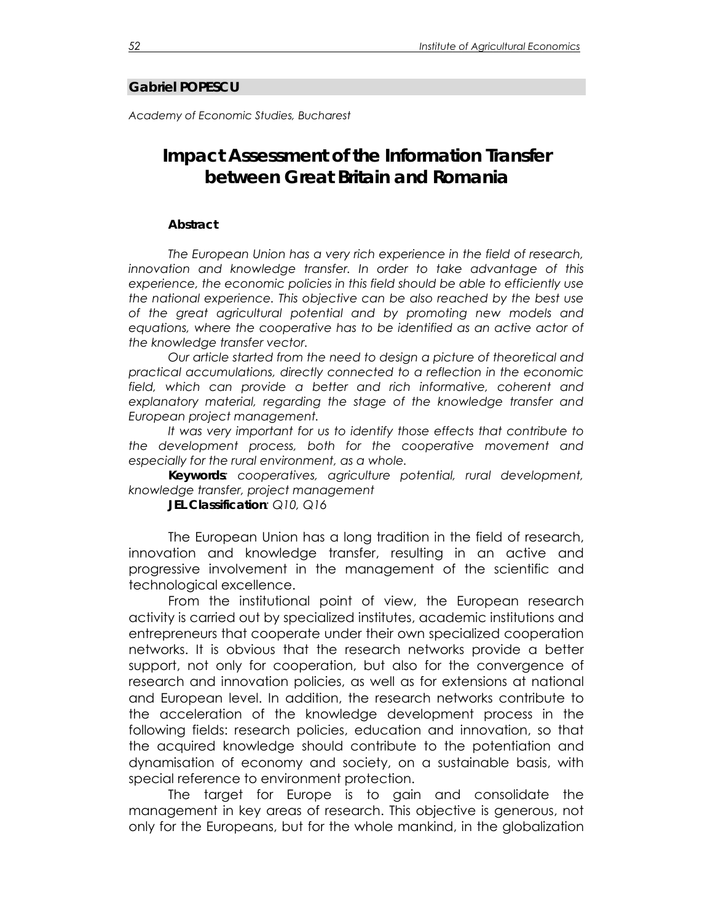## **Gabriel POPESCU**

*Academy of Economic Studies, Bucharest* 

## **Impact Assessment of the Information Transfer between Great Britain and Romania**

## *Abstract*

*The European Union has a very rich experience in the field of research, innovation and knowledge transfer. In order to take advantage of this experience, the economic policies in this field should be able to efficiently use the national experience. This objective can be also reached by the best use of the great agricultural potential and by promoting new models and*  equations, where the cooperative has to be identified as an active actor of *the knowledge transfer vector.* 

*Our article started from the need to design a picture of theoretical and practical accumulations, directly connected to a reflection in the economic*  field, which can provide a better and rich informative, coherent and *explanatory material, regarding the stage of the knowledge transfer and European project management.* 

*It was very important for us to identify those effects that contribute to the development process, both for the cooperative movement and especially for the rural environment, as a whole.* 

*Keywords: cooperatives, agriculture potential, rural development, knowledge transfer, project management* 

*JEL Classification: Q10, Q16*

The European Union has a long tradition in the field of research, innovation and knowledge transfer, resulting in an active and progressive involvement in the management of the scientific and technological excellence.

 From the institutional point of view, the European research activity is carried out by specialized institutes, academic institutions and entrepreneurs that cooperate under their own specialized cooperation networks. It is obvious that the research networks provide a better support, not only for cooperation, but also for the convergence of research and innovation policies, as well as for extensions at national and European level. In addition, the research networks contribute to the acceleration of the knowledge development process in the following fields: research policies, education and innovation, so that the acquired knowledge should contribute to the potentiation and dynamisation of economy and society, on a sustainable basis, with special reference to environment protection.

The target for Europe is to gain and consolidate the management in key areas of research. This objective is generous, not only for the Europeans, but for the whole mankind, in the globalization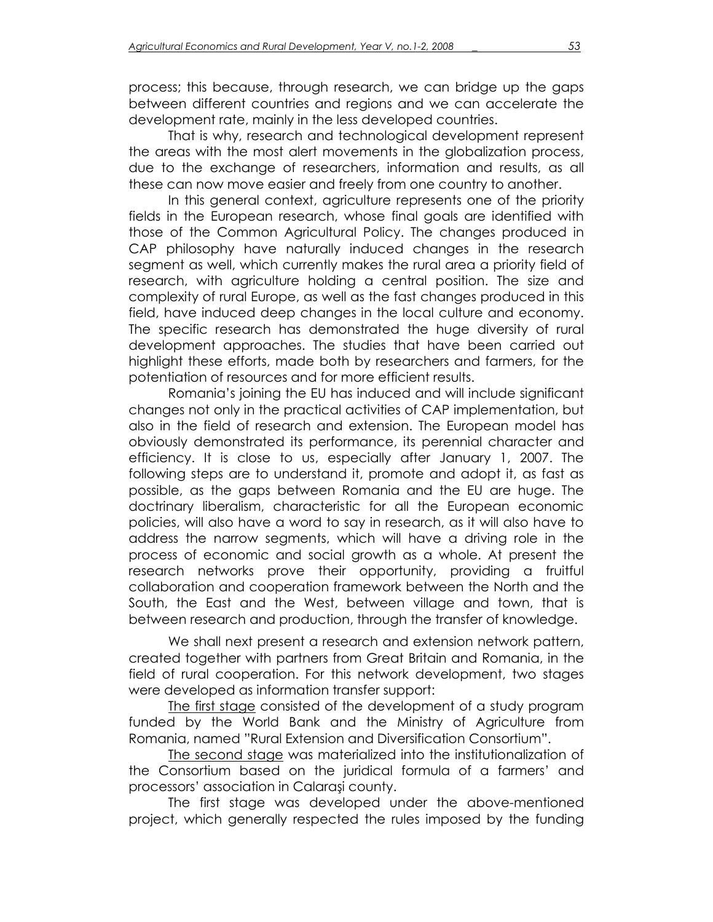process; this because, through research, we can bridge up the gaps between different countries and regions and we can accelerate the development rate, mainly in the less developed countries.

That is why, research and technological development represent the areas with the most alert movements in the globalization process, due to the exchange of researchers, information and results, as all these can now move easier and freely from one country to another.

In this general context, agriculture represents one of the priority fields in the European research, whose final goals are identified with those of the Common Agricultural Policy. The changes produced in CAP philosophy have naturally induced changes in the research segment as well, which currently makes the rural area a priority field of research, with agriculture holding a central position. The size and complexity of rural Europe, as well as the fast changes produced in this field, have induced deep changes in the local culture and economy. The specific research has demonstrated the huge diversity of rural development approaches. The studies that have been carried out highlight these efforts, made both by researchers and farmers, for the potentiation of resources and for more efficient results.

Romania's joining the EU has induced and will include significant changes not only in the practical activities of CAP implementation, but also in the field of research and extension. The European model has obviously demonstrated its performance, its perennial character and efficiency. It is close to us, especially after January 1, 2007. The following steps are to understand it, promote and adopt it, as fast as possible, as the gaps between Romania and the EU are huge. The doctrinary liberalism, characteristic for all the European economic policies, will also have a word to say in research, as it will also have to address the narrow segments, which will have a driving role in the process of economic and social growth as a whole. At present the research networks prove their opportunity, providing a fruitful collaboration and cooperation framework between the North and the South, the East and the West, between village and town, that is between research and production, through the transfer of knowledge.

We shall next present a research and extension network pattern, created together with partners from Great Britain and Romania, in the field of rural cooperation. For this network development, two stages were developed as information transfer support:

The first stage consisted of the development of a study program funded by the World Bank and the Ministry of Agriculture from Romania, named "Rural Extension and Diversification Consortium".

The second stage was materialized into the institutionalization of the Consortium based on the juridical formula of a farmers' and processors' association in Calaraşi county.

The first stage was developed under the above-mentioned project, which generally respected the rules imposed by the funding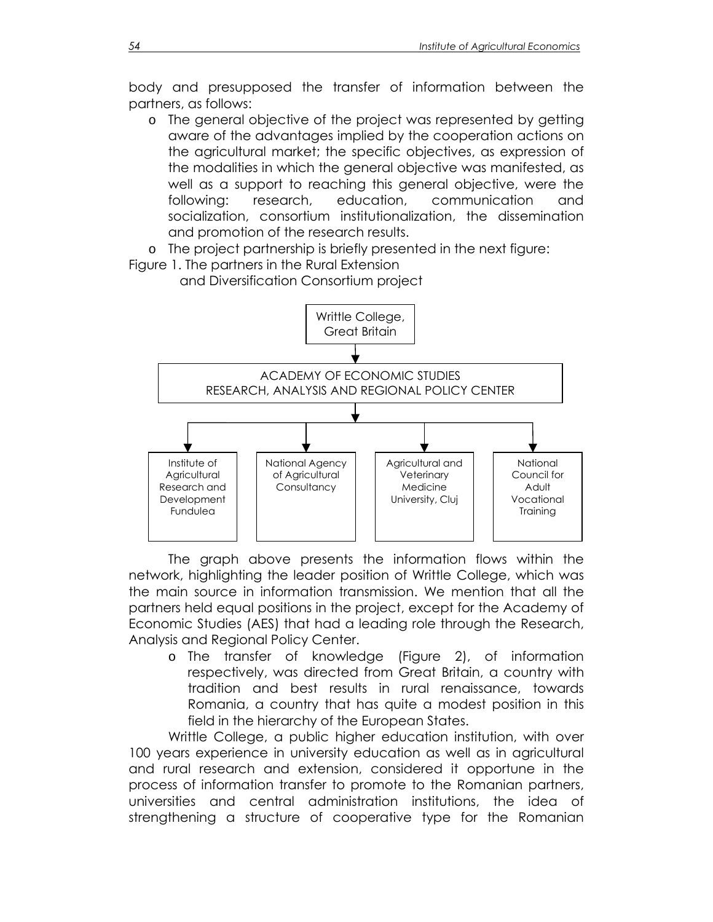body and presupposed the transfer of information between the partners, as follows:

o The general objective of the project was represented by getting aware of the advantages implied by the cooperation actions on the agricultural market; the specific objectives, as expression of the modalities in which the general objective was manifested, as well as a support to reaching this general objective, were the following: research, education, communication and socialization, consortium institutionalization, the dissemination and promotion of the research results.

o The project partnership is briefly presented in the next figure:

Figure 1. The partners in the Rural Extension



 The graph above presents the information flows within the network, highlighting the leader position of Writtle College, which was the main source in information transmission. We mention that all the partners held equal positions in the project, except for the Academy of Economic Studies (AES) that had a leading role through the Research, Analysis and Regional Policy Center.

o The transfer of knowledge (Figure 2), of information respectively, was directed from Great Britain, a country with tradition and best results in rural renaissance, towards Romania, a country that has quite a modest position in this field in the hierarchy of the European States.

Writtle College, a public higher education institution, with over 100 years experience in university education as well as in agricultural and rural research and extension, considered it opportune in the process of information transfer to promote to the Romanian partners, universities and central administration institutions, the idea of strengthening a structure of cooperative type for the Romanian

and Diversification Consortium project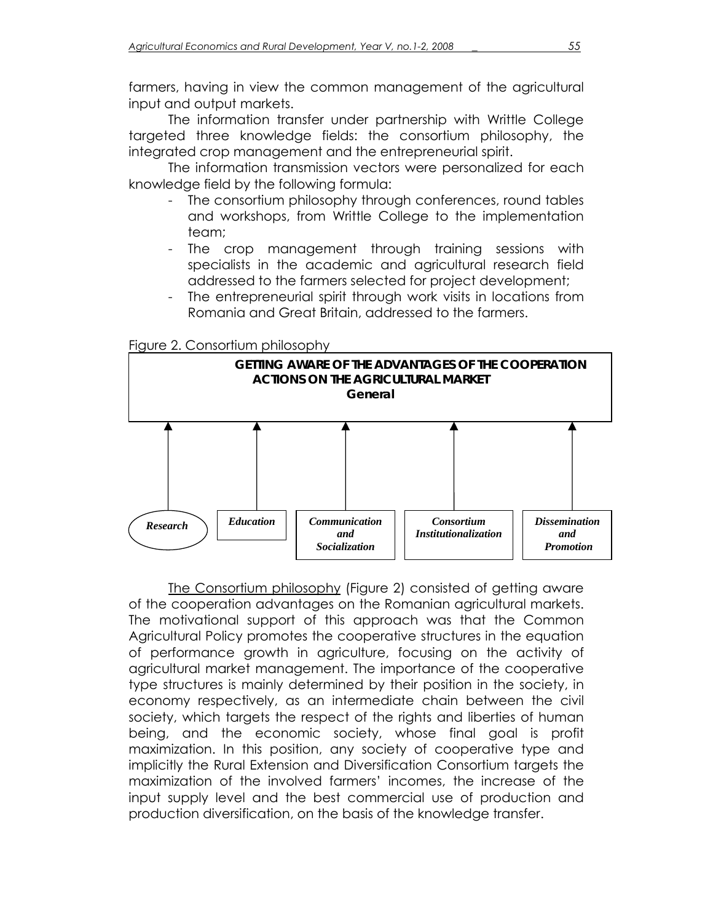farmers, having in view the common management of the agricultural input and output markets.

The information transfer under partnership with Writtle College targeted three knowledge fields: the consortium philosophy, the integrated crop management and the entrepreneurial spirit.

The information transmission vectors were personalized for each knowledge field by the following formula:

- The consortium philosophy through conferences, round tables and workshops, from Writtle College to the implementation team;
- The crop management through training sessions with specialists in the academic and agricultural research field addressed to the farmers selected for project development;
- The entrepreneurial spirit through work visits in locations from Romania and Great Britain, addressed to the farmers.

Figure 2. Consortium philosophy



 The Consortium philosophy (Figure 2) consisted of getting aware of the cooperation advantages on the Romanian agricultural markets. The motivational support of this approach was that the Common Agricultural Policy promotes the cooperative structures in the equation of performance growth in agriculture, focusing on the activity of agricultural market management. The importance of the cooperative type structures is mainly determined by their position in the society, in economy respectively, as an intermediate chain between the civil society, which targets the respect of the rights and liberties of human being, and the economic society, whose final goal is profit maximization. In this position, any society of cooperative type and implicitly the Rural Extension and Diversification Consortium targets the maximization of the involved farmers' incomes, the increase of the input supply level and the best commercial use of production and production diversification, on the basis of the knowledge transfer.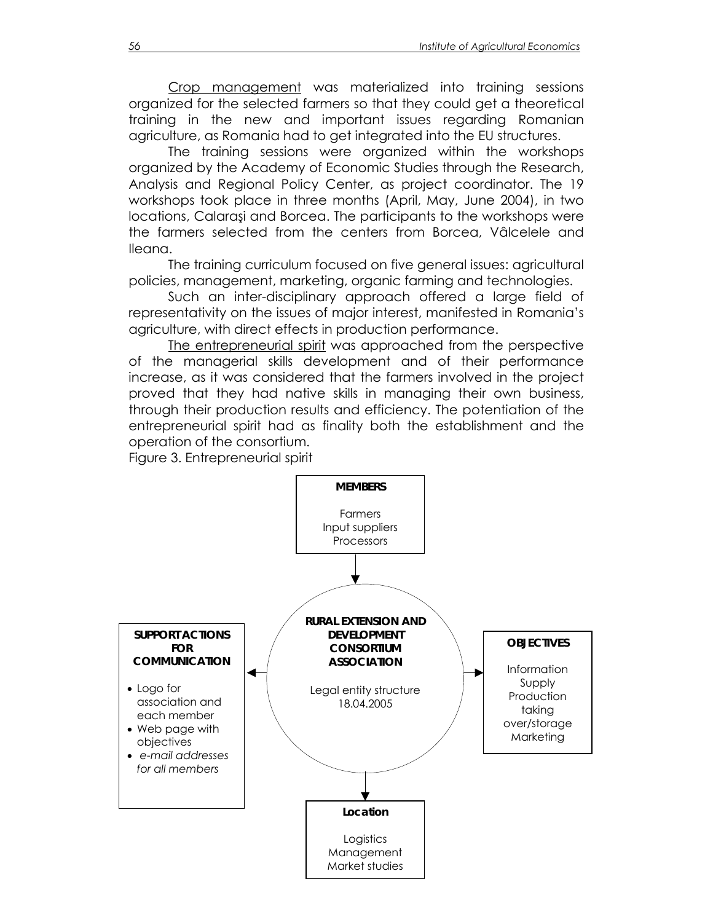Crop management was materialized into training sessions organized for the selected farmers so that they could get a theoretical training in the new and important issues regarding Romanian agriculture, as Romania had to get integrated into the EU structures.

The training sessions were organized within the workshops organized by the Academy of Economic Studies through the Research, Analysis and Regional Policy Center, as project coordinator. The 19 workshops took place in three months (April, May, June 2004), in two locations, Calaraşi and Borcea. The participants to the workshops were the farmers selected from the centers from Borcea, Vâlcelele and Ileana.

The training curriculum focused on five general issues: agricultural policies, management, marketing, organic farming and technologies.

Such an inter-disciplinary approach offered a large field of representativity on the issues of major interest, manifested in Romania's agriculture, with direct effects in production performance.

The entrepreneurial spirit was approached from the perspective of the managerial skills development and of their performance increase, as it was considered that the farmers involved in the project proved that they had native skills in managing their own business, through their production results and efficiency. The potentiation of the entrepreneurial spirit had as finality both the establishment and the operation of the consortium.

Figure 3. Entrepreneurial spirit

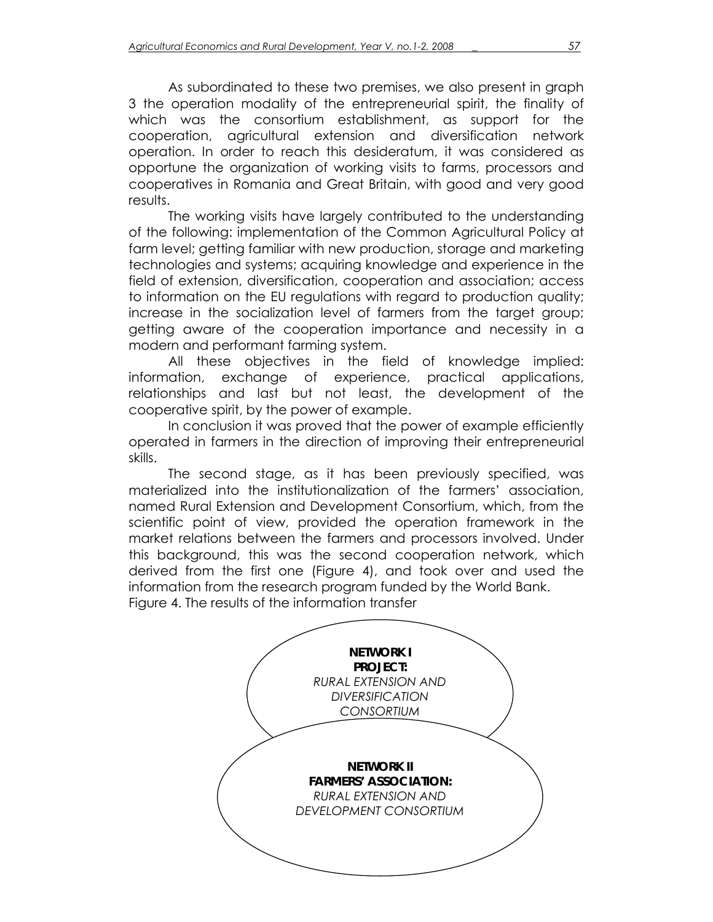As subordinated to these two premises, we also present in graph 3 the operation modality of the entrepreneurial spirit, the finality of which was the consortium establishment, as support for the cooperation, agricultural extension and diversification network operation. In order to reach this desideratum, it was considered as opportune the organization of working visits to farms, processors and cooperatives in Romania and Great Britain, with good and very good results.

The working visits have largely contributed to the understanding of the following: implementation of the Common Agricultural Policy at farm level; getting familiar with new production, storage and marketing technologies and systems; acquiring knowledge and experience in the field of extension, diversification, cooperation and association; access to information on the EU regulations with regard to production quality; increase in the socialization level of farmers from the target group; getting aware of the cooperation importance and necessity in a modern and performant farming system.

All these objectives in the field of knowledge implied: information, exchange of experience, practical applications, relationships and last but not least, the development of the cooperative spirit, by the power of example.

In conclusion it was proved that the power of example efficiently operated in farmers in the direction of improving their entrepreneurial skills.

The second stage, as it has been previously specified, was materialized into the institutionalization of the farmers' association, named Rural Extension and Development Consortium, which, from the scientific point of view, provided the operation framework in the market relations between the farmers and processors involved. Under this background, this was the second cooperation network, which derived from the first one (Figure 4), and took over and used the information from the research program funded by the World Bank. Figure 4. The results of the information transfer

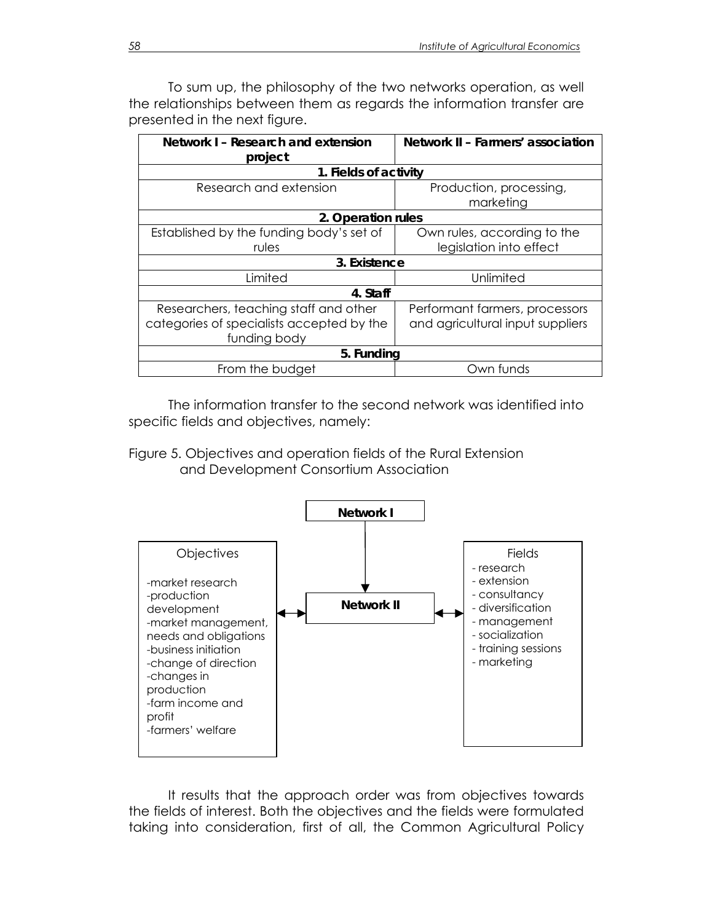To sum up, the philosophy of the two networks operation, as well the relationships between them as regards the information transfer are presented in the next figure.

| Network I - Research and extension        | Network II - Farmers' association |
|-------------------------------------------|-----------------------------------|
| project                                   |                                   |
| 1. Fields of activity                     |                                   |
| Research and extension                    | Production, processing,           |
|                                           | marketing                         |
| 2. Operation rules                        |                                   |
| Established by the funding body's set of  | Own rules, according to the       |
| rules                                     | legislation into effect           |
| 3. Existence                              |                                   |
| Limited                                   | Unlimited                         |
| 4. Staff                                  |                                   |
| Researchers, teaching staff and other     | Performant farmers, processors    |
| categories of specialists accepted by the | and agricultural input suppliers  |
| funding body                              |                                   |
| 5. Funding                                |                                   |
| From the budget                           | Own funds                         |

The information transfer to the second network was identified into specific fields and objectives, namely:

Figure 5. Objectives and operation fields of the Rural Extension and Development Consortium Association



It results that the approach order was from objectives towards the fields of interest. Both the objectives and the fields were formulated taking into consideration, first of all, the Common Agricultural Policy